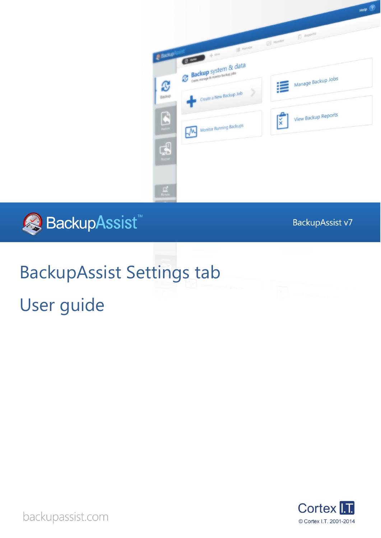



BackupAssist v7

# BackupAssist Settings tab

 $\mathbf{C}$ 

Backup

B

 $\mathbb{B}$ 

User guide



backupassist.com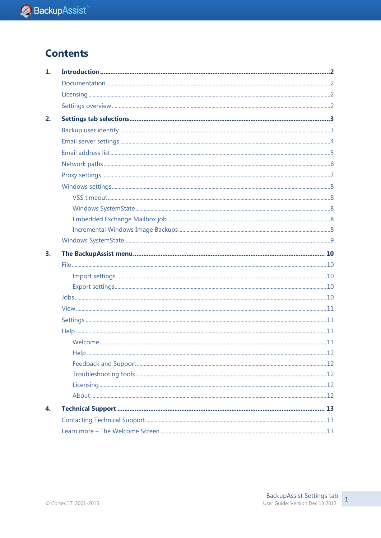## **Contents**

| 1. |  |
|----|--|
|    |  |
|    |  |
|    |  |
| 2. |  |
|    |  |
|    |  |
|    |  |
|    |  |
|    |  |
|    |  |
|    |  |
|    |  |
|    |  |
|    |  |
|    |  |
| 3. |  |
|    |  |
|    |  |
|    |  |
|    |  |
|    |  |
|    |  |
|    |  |
|    |  |
|    |  |
|    |  |
|    |  |
|    |  |
|    |  |
| 4. |  |
|    |  |
|    |  |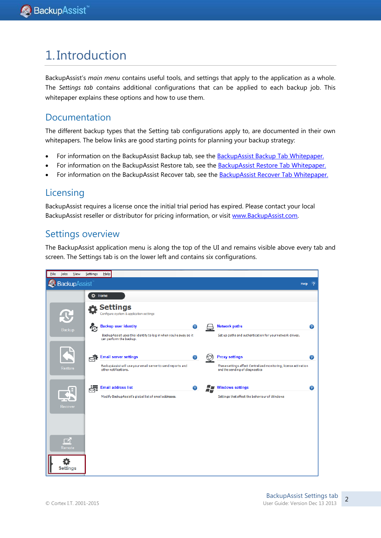# 1. Introduction

BackupAssist"s *main menu* contains useful tools, and settings that apply to the application as a whole. The *Settings tab* contains additional configurations that can be applied to each backup job. This whitepaper explains these options and how to use them.

### Documentation

The different backup types that the Setting tab configurations apply to, are documented in their own whitepapers. The below links are good starting points for planning your backup strategy:

- For information on the BackupAssist Backup tab, see the **BackupAssist Backup Tab Whitepaper**.
- For information on the BackupAssist Restore tab, see the [BackupAssist Restore Tab Whitepaper.](http://www.backupassist.com/education/whitepapers/restore_whitepaper.html)
- For information on the BackupAssist Recover tab, see the **BackupAssist Recover Tab Whitepaper.**

### Licensing

BackupAssist requires a license once the initial trial period has expired. Please contact your local BackupAssist reseller or distributor for pricing information, or visit [www.BackupAssist.com.](http://www.backupassist.com/)

### Settings overview

The BackupAssist application menu is along the top of the UI and remains visible above every tab and screen. The Settings tab is on the lower left and contains six configurations.

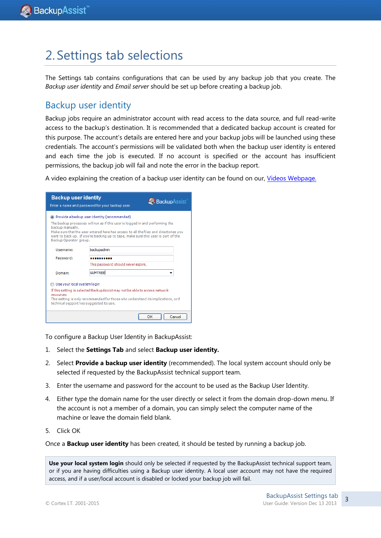# <span id="page-3-0"></span>2. Settings tab selections

The Settings tab contains configurations that can be used by any backup job that you create. The *Backup user identity* and *Email server* should be set up before creating a backup job.

### Backup user identity

Backup jobs require an administrator account with read access to the data source, and full read-write access to the backup"s destination. It is recommended that a dedicated backup account is created for this purpose. The account"s details are entered here and your backup jobs will be launched using these credentials. The account's permissions will be validated both when the backup user identity is entered and each time the job is executed. If no account is specified or the account has insufficient permissions, the backup job will fail and note the error in the backup report.

A video explaining the creation of a backup user identity can be found on our, [Videos Webpage.](http://www.backupassist.com/education/videos.html)

| <b>Backup user identity</b>                                                                                                                                                                                                                             | <b>Backup</b> Assist<br>Enter a name and password for your backup user.                                                                                                                                                                                                                                                 |  |  |  |  |  |
|---------------------------------------------------------------------------------------------------------------------------------------------------------------------------------------------------------------------------------------------------------|-------------------------------------------------------------------------------------------------------------------------------------------------------------------------------------------------------------------------------------------------------------------------------------------------------------------------|--|--|--|--|--|
| backup manually.<br>Backup Operator group.                                                                                                                                                                                                              | <sup>3</sup> Provide a backup user identity (recommended)<br>The backup processes will run as if this user is logged in and performing the<br>Make sure that the user entered here has access to all the files and directories you<br>want to back up. If you're backing up to tape, make sure this user is part of the |  |  |  |  |  |
| Username:                                                                                                                                                                                                                                               | backupadmin                                                                                                                                                                                                                                                                                                             |  |  |  |  |  |
| Password:                                                                                                                                                                                                                                               | .                                                                                                                                                                                                                                                                                                                       |  |  |  |  |  |
|                                                                                                                                                                                                                                                         | This password should never expire.                                                                                                                                                                                                                                                                                      |  |  |  |  |  |
| Domain:                                                                                                                                                                                                                                                 | <b>GUMTREE</b>                                                                                                                                                                                                                                                                                                          |  |  |  |  |  |
| Use your local system login<br>If this setting is selected BackupAssist may not be able to access network<br>resources<br>This setting is only recommended for those who understand its implications, or if<br>technical support has suggested its use. |                                                                                                                                                                                                                                                                                                                         |  |  |  |  |  |
| ΩК<br>Cancel                                                                                                                                                                                                                                            |                                                                                                                                                                                                                                                                                                                         |  |  |  |  |  |

To configure a Backup User Identity in BackupAssist:

- 1. Select the **Settings Tab** and select **Backup user identity.**
- 2. Select **Provide a backup user identity** (recommended). The local system account should only be selected if requested by the BackupAssist technical support team.
- 3. Enter the username and password for the account to be used as the Backup User Identity.
- 4. Either type the domain name for the user directly or select it from the domain drop-down menu. If the account is not a member of a domain, you can simply select the computer name of the machine or leave the domain field blank.
- 5. Click OK

Once a **Backup user identity** has been created, it should be tested by running a backup job.

**Use your local system login** should only be selected if requested by the BackupAssist technical support team, or if you are having difficulties using a Backup user identity. A local user account may not have the required access, and if a user/local account is disabled or locked your backup job will fail.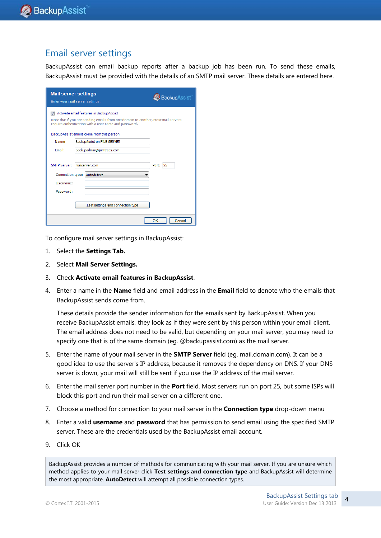### Email server settings

BackupAssist can email backup reports after a backup job has been run. To send these emails, BackupAssist must be provided with the details of an SMTP mail server. These details are entered here.

| <b>Mail server settings</b>      | Enter your mail server settings.                                                                                                                                                      | <b>BackupAssist</b> |  |  |  |  |  |  |
|----------------------------------|---------------------------------------------------------------------------------------------------------------------------------------------------------------------------------------|---------------------|--|--|--|--|--|--|
| $\overline{J}$                   | Activate email features in BackupAssist<br>Note that if you are sending emails from one domain to another, most mail servers<br>require authentication with a user name and password. |                     |  |  |  |  |  |  |
|                                  | BackupAssist emails come from this person:                                                                                                                                            |                     |  |  |  |  |  |  |
| Name:                            | BackupAssist on FILE-SERVER                                                                                                                                                           |                     |  |  |  |  |  |  |
| Email:                           | backupadmin@gumtrees.com                                                                                                                                                              |                     |  |  |  |  |  |  |
| <b>SMTP Server:</b><br>Username: | mailserver.com<br>Connection type: Autodetect                                                                                                                                         | Port: 25            |  |  |  |  |  |  |
| Password:                        |                                                                                                                                                                                       |                     |  |  |  |  |  |  |
|                                  | Test settings and connection type                                                                                                                                                     |                     |  |  |  |  |  |  |
|                                  |                                                                                                                                                                                       | OK<br>Cancel        |  |  |  |  |  |  |

To configure mail server settings in BackupAssist:

- 1. Select the **Settings Tab.**
- 2. Select **Mail Server Settings.**
- 3. Check **Activate email features in BackupAssist**.
- 4. Enter a name in the **Name** field and email address in the **Email** field to denote who the emails that BackupAssist sends come from.

These details provide the sender information for the emails sent by BackupAssist. When you receive BackupAssist emails, they look as if they were sent by this person within your email client. The email address does not need to be valid, but depending on your mail server, you may need to specify one that is of the same domain (eg. @backupassist.com) as the mail server.

- 5. Enter the name of your mail server in the **SMTP Server** field (eg. mail.domain.com). It can be a good idea to use the server's IP address, because it removes the dependency on DNS. If your DNS server is down, your mail will still be sent if you use the IP address of the mail server.
- 6. Enter the mail server port number in the **Port** field. Most servers run on port 25, but some ISPs will block this port and run their mail server on a different one.
- 7. Choose a method for connection to your mail server in the **Connection type** drop-down menu
- 8. Enter a valid **username** and **password** that has permission to send email using the specified SMTP server. These are the credentials used by the BackupAssist email account.
- 9. Click OK

BackupAssist provides a number of methods for communicating with your mail server. If you are unsure which method applies to your mail server click **Test settings and connection type** and BackupAssist will determine the most appropriate. **AutoDetect** will attempt all possible connection types.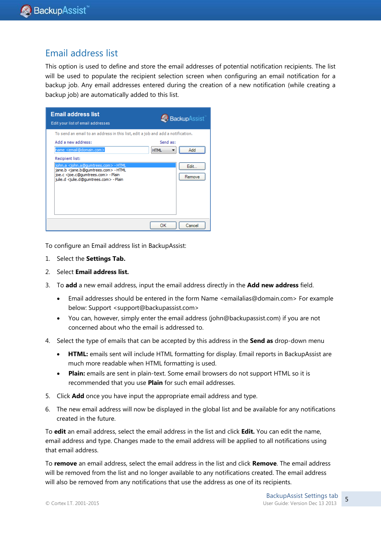### Email address list

This option is used to define and store the email addresses of potential notification recipients. The list will be used to populate the recipient selection screen when configuring an email notification for a backup job. Any email addresses entered during the creation of a new notification (while creating a backup job) are automatically added to this list.



To configure an Email address list in BackupAssist:

- 1. Select the **Settings Tab.**
- 2. Select **Email address list.**
- 3. To **add** a new email address, input the email address directly in the **Add new address** field.
	- Email addresses should be entered in the form Name <emailalias@domain.com> For example below: Support <support@backupassist.com>
	- You can, however, simply enter the email address (john@backupassist.com) if you are not concerned about who the email is addressed to.
- 4. Select the type of emails that can be accepted by this address in the **Send as** drop-down menu
	- **HTML:** emails sent will include HTML formatting for display. Email reports in BackupAssist are much more readable when HTML formatting is used.
	- **Plain:** emails are sent in plain-text. Some email browsers do not support HTML so it is recommended that you use **Plain** for such email addresses.
- 5. Click **Add** once you have input the appropriate email address and type.
- 6. The new email address will now be displayed in the global list and be available for any notifications created in the future.

To **edit** an email address, select the email address in the list and click **Edit.** You can edit the name, email address and type. Changes made to the email address will be applied to all notifications using that email address.

To **remove** an email address, select the email address in the list and click **Remove**. The email address will be removed from the list and no longer available to any notifications created. The email address will also be removed from any notifications that use the address as one of its recipients.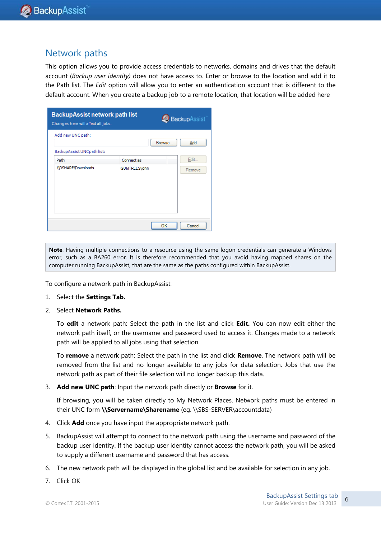### Network paths

This option allows you to provide access credentials to networks, domains and drives that the default account (*Backup user identity)* does not have access to. Enter or browse to the location and add it to the Path list. The *Edit* option will allow you to enter an authentication account that is different to the default account. When you create a backup job to a remote location, that location will be added here

| <b>BackupAssist network path list</b><br>Changes here will affect all jobs. |                      | BackupAssist  |
|-----------------------------------------------------------------------------|----------------------|---------------|
| Add new UNC path:                                                           |                      | Browse<br>Add |
| BackupAssist UNCpath list:                                                  |                      |               |
| Path                                                                        | Connect as           | Edit          |
| \\DSHARE\Downloads                                                          | <b>GUMTREES\john</b> | Remove        |
|                                                                             |                      | OK<br>Cancel  |

**Note**: Having multiple connections to a resource using the same logon credentials can generate a Windows error, such as a BA260 error. It is therefore recommended that you avoid having mapped shares on the computer running BackupAssist, that are the same as the paths configured within BackupAssist.

To configure a network path in BackupAssist:

- 1. Select the **Settings Tab.**
- 2. Select **Network Paths.**

To **edit** a network path: Select the path in the list and click **Edit.** You can now edit either the network path itself, or the username and password used to access it. Changes made to a network path will be applied to all jobs using that selection.

To **remove** a network path: Select the path in the list and click **Remove**. The network path will be removed from the list and no longer available to any jobs for data selection. Jobs that use the network path as part of their file selection will no longer backup this data.

3. **Add new UNC path**: Input the network path directly or **Browse** for it.

If browsing, you will be taken directly to My Network Places. Network paths must be entered in their UNC form **\\Servername\Sharename** (eg. \\SBS-SERVER\accountdata)

- 4. Click **Add** once you have input the appropriate network path.
- 5. BackupAssist will attempt to connect to the network path using the username and password of the backup user identity. If the backup user identity cannot access the network path, you will be asked to supply a different username and password that has access.
- 6. The new network path will be displayed in the global list and be available for selection in any job.
- 7. Click OK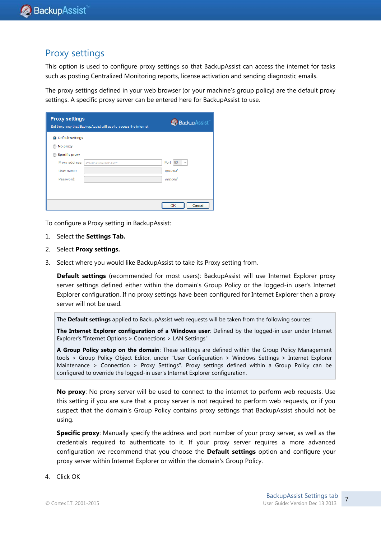### Proxy settings

This option is used to configure proxy settings so that BackupAssist can access the internet for tasks such as posting Centralized Monitoring reports, license activation and sending diagnostic emails.

The proxy settings defined in your web browser (or your machine"s group policy) are the default proxy settings. A specific proxy server can be entered here for BackupAssist to use.

| <b>Proxy settings</b> | Set the proxy that BackupAssist will use to access the internet | <b>BackupAssist</b>                    |
|-----------------------|-----------------------------------------------------------------|----------------------------------------|
| O Default settings    |                                                                 |                                        |
| No proxy              |                                                                 |                                        |
| Specific proxy        |                                                                 |                                        |
| Proxy address:        | ргоху.company.com                                               | Port<br>80<br>$\overline{\phantom{a}}$ |
| User name:            |                                                                 | optional                               |
| Password:             |                                                                 | optional                               |
|                       |                                                                 |                                        |
|                       |                                                                 |                                        |
|                       |                                                                 | Cancel<br>OK                           |

To configure a Proxy setting in BackupAssist:

- 1. Select the **Settings Tab.**
- 2. Select **Proxy settings.**
- 3. Select where you would like BackupAssist to take its Proxy setting from.

**Default settings** (recommended for most users): BackupAssist will use Internet Explorer proxy server settings defined either within the domain's Group Policy or the logged-in user's Internet Explorer configuration. If no proxy settings have been configured for Internet Explorer then a proxy server will not be used.

The **Default settings** applied to BackupAssist web requests will be taken from the following sources:

**The Internet Explorer configuration of a Windows user**: Defined by the logged-in user under Internet Explorer's "Internet Options > Connections > LAN Settings"

**A Group Policy setup on the domain**: These settings are defined within the Group Policy Management tools > Group Policy Object Editor, under "User Configuration > Windows Settings > Internet Explorer Maintenance > Connection > Proxy Settings". Proxy settings defined within a Group Policy can be configured to override the logged-in user's Internet Explorer configuration.

**No proxy**: No proxy server will be used to connect to the internet to perform web requests. Use this setting if you are sure that a proxy server is not required to perform web requests, or if you suspect that the domain's Group Policy contains proxy settings that BackupAssist should not be using.

**Specific proxy:** Manually specify the address and port number of your proxy server, as well as the credentials required to authenticate to it. If your proxy server requires a more advanced configuration we recommend that you choose the **Default settings** option and configure your proxy server within Internet Explorer or within the domain's Group Policy.

4. Click OK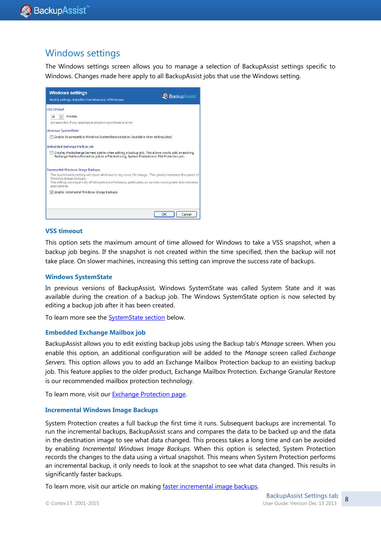### Windows settings

The Windows settings screen allows you to manage a selection of BackupAssist settings specific to Windows. Changes made here apply to all BackupAssist jobs that use the Windows setting.



#### **VSS timeout**

This option sets the maximum amount of time allowed for Windows to take a VSS snapshot, when a backup job begins. If the snapshot is not created within the time specified, then the backup will not take place. On slower machines, increasing this setting can improve the success rate of backups.

#### **Windows SystemState**

In previous versions of BackupAssist, Windows SystemState was called System State and it was available during the creation of a backup job. The Windows SystemState option is now selected by editing a backup job after it has been created.

To learn more see th[e SystemState section](#page-9-0) below.

#### **Embedded Exchange Mailbox job**

BackupAssist allows you to edit existing backup jobs using the Backup tab"s *Manage* screen. When you enable this option, an additional configuration will be added to the *Manage* screen called *Exchange Servers*. This option allows you to add an Exchange Mailbox Protection backup to an existing backup job. This feature applies to the older product, Exchange Mailbox Protection. Exchange Granular Restore is our recommended mailbox protection technology.

To learn more, visit our **Exchange Protection page**.

#### **Incremental Windows Image Backups**

System Protection creates a full backup the first time it runs. Subsequent backups are incremental. To run the incremental backups, BackupAssist scans and compares the data to be backed up and the data in the destination image to see what data changed. This process takes a long time and can be avoided by enabling *Incremental Windows Image Backups*. When this option is selected, System Protection records the changes to the data using a virtual snapshot. This means when System Protection performs an incremental backup, it only needs to look at the snapshot to see what data changed. This results in significantly faster backups.

To learn more, visit our article on making [faster incremental image backups.](http://www.backupassist.com/blog/support/fast-incremental-backups-for-system-protection/)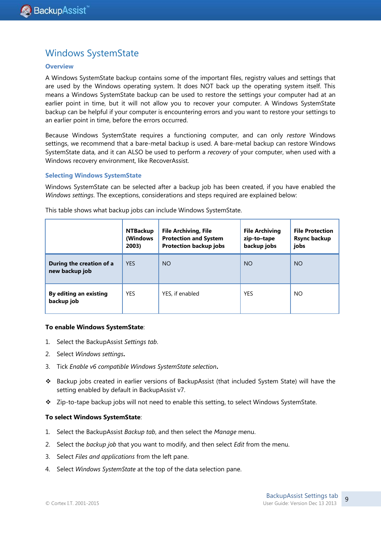### <span id="page-9-0"></span>Windows SystemState

#### **Overview**

A Windows SystemState backup contains some of the important files, registry values and settings that are used by the Windows operating system. It does NOT back up the operating system itself. This means a Windows SystemState backup can be used to restore the settings your computer had at an earlier point in time, but it will not allow you to recover your computer. A Windows SystemState backup can be helpful if your computer is encountering errors and you want to restore your settings to an earlier point in time, before the errors occurred.

Because Windows SystemState requires a functioning computer, and can only *restore* Windows settings, we recommend that a bare-metal backup is used. A bare-metal backup can restore Windows SystemState data, and it can ALSO be used to perform a *recovery* of your computer, when used with a Windows recovery environment, like RecoverAssist.

#### **Selecting Windows SystemState**

Windows SystemState can be selected after a backup job has been created, if you have enabled the *Windows settings*. The exceptions, considerations and steps required are explained below:

|                                            | <b>NTBackup</b><br>(Windows<br>2003) | <b>File Archiving, File</b><br><b>Protection and System</b><br><b>Protection backup jobs</b> | <b>File Archiving</b><br>zip-to-tape<br>backup jobs | <b>File Protection</b><br><b>Rsync backup</b><br>jobs |
|--------------------------------------------|--------------------------------------|----------------------------------------------------------------------------------------------|-----------------------------------------------------|-------------------------------------------------------|
| During the creation of a<br>new backup job | <b>YES</b>                           | <b>NO</b>                                                                                    | <b>NO</b>                                           | <b>NO</b>                                             |
| By editing an existing<br>backup job       | <b>YES</b>                           | YES, if enabled                                                                              | <b>YES</b>                                          | <b>NO</b>                                             |

This table shows what backup jobs can include Windows SystemState.

#### **To enable Windows SystemState**:

- 1. Select the BackupAssist *Settings tab*.
- 2. Select *Windows settings***.**
- 3. Tick *Enable v6 compatible Windows SystemState selection***.**
- Backup jobs created in earlier versions of BackupAssist (that included System State) will have the setting enabled by default in BackupAssist v7.
- Zip-to-tape backup jobs will not need to enable this setting, to select Windows SystemState.

#### **To select Windows SystemState**:

- 1. Select the BackupAssist *Backup tab*, and then select the *Manage* menu.
- 2. Select the *backup job* that you want to modify, and then select *Edit* from the menu.
- 3. Select *Files and applications* from the left pane.
- 4. Select *Windows SystemState* at the top of the data selection pane.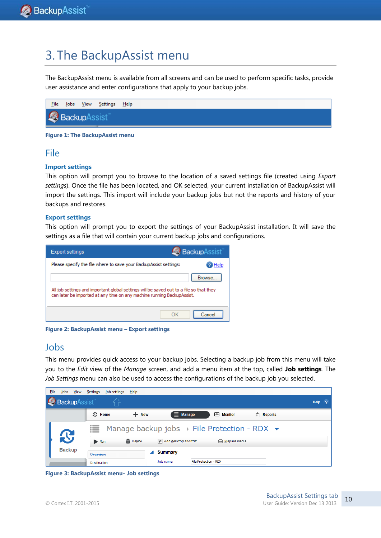# 3. The BackupAssist menu

The BackupAssist menu is available from all screens and can be used to perform specific tasks, provide user assistance and enter configurations that apply to your backup jobs.

| <b>File</b>  |  | Jobs <u>V</u> iew <u>S</u> ettings <u>H</u> elp |  |  |  |  |
|--------------|--|-------------------------------------------------|--|--|--|--|
| BackupAssist |  |                                                 |  |  |  |  |

**Figure 1: The BackupAssist menu**

### File

#### **Import settings**

This option will prompt you to browse to the location of a saved settings file (created using *Export settings*). Once the file has been located, and OK selected, your current installation of BackupAssist will import the settings. This import will include your backup jobs but not the reports and history of your backups and restores.

#### **Export settings**

This option will prompt you to export the settings of your BackupAssist installation. It will save the settings as a file that will contain your current backup jobs and configurations.

| <b>Export settings</b>                                                                                                                                            | <b>Backup</b> Assist |
|-------------------------------------------------------------------------------------------------------------------------------------------------------------------|----------------------|
| Please specify the file where to save your BackupAssist settings:                                                                                                 |                      |
| All job settings and important global settings will be saved out to a file so that they<br>can later be imported at any time on any machine running BackupAssist. | Browse               |
|                                                                                                                                                                   | Cancel               |

**Figure 2: BackupAssist menu – Export settings**

### Jobs

This menu provides quick access to your backup jobs. Selecting a backup job from this menu will take you to the *Edit* view of the *Manage* screen, and add a menu item at the top, called **Job settings***.* The *Job Settings* menu can also be used to access the configurations of the backup job you selected.

| File<br>Jobs<br>View | Settings<br>Job settings<br>Help                                                             |                    |
|----------------------|----------------------------------------------------------------------------------------------|--------------------|
| <b>BackupAssist</b>  |                                                                                              | $\sqrt{2}$<br>Help |
|                      | $\equiv$ Manage<br>$+$ New<br><b>C</b> Home<br>$M$ Monitor<br>$\left \vec{x}\right $ Reports |                    |
|                      | Manage backup jobs $\rightarrow$ File Protection - RDX $\rightarrow$<br>這                    |                    |
| $\mathbf{C}$         | m Delete<br>Add desktop shortart<br>A Prepare media<br>$\triangleright$ Run                  |                    |
| <b>Backup</b>        | <b>Summary</b><br><b>Overview</b>                                                            |                    |
|                      | Job name:<br>File Protection - RDX<br>Destination                                            |                    |

**Figure 3: BackupAssist menu- Job settings**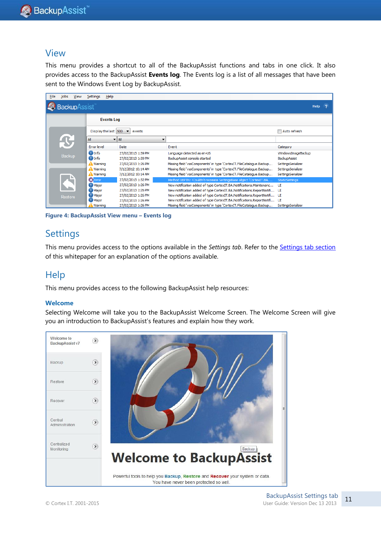### View

This menu provides a shortcut to all of the BackupAssist functions and tabs in one click. It also provides access to the BackupAssist **Events log**. The Events log is a list of all messages that have been sent to the Windows Event Log by BackupAssist.

| File | Jobs                         | <b>View</b> | Settings<br>Help     |                                            |                                                                          |                       |  |  |
|------|------------------------------|-------------|----------------------|--------------------------------------------|--------------------------------------------------------------------------|-----------------------|--|--|
|      | BackupAssist`<br><b>Help</b> |             |                      |                                            |                                                                          |                       |  |  |
|      |                              |             | <b>Events Log</b>    |                                            |                                                                          |                       |  |  |
|      |                              |             | Display the last 500 | events                                     |                                                                          | Auto refresh          |  |  |
|      |                              |             | All                  | $\blacktriangleright$ $\blacktriangleleft$ |                                                                          |                       |  |  |
|      | Backup                       |             | <b>Error</b> level   | <b>Date</b>                                | Event                                                                    | Category              |  |  |
|      |                              |             | <sup>1</sup> Info    | 27/02/2013 1:39 PM                         | Language detected as en-US                                               | WindowsImageBackup    |  |  |
|      |                              |             | <b>O</b> Info        | 27/02/2013 1:39 PM                         | BackupAssist console started                                             | BackupAssist          |  |  |
|      |                              |             | <b>Warning</b>       | 27/02/2013 1:26 PM                         | Missing field 'vssComponents' in type 'CortexIT.FileCatalogue.Backup     | SettingsSerializer    |  |  |
|      |                              |             | A Warning            | 7/12/2012 10:14 AM                         | Missing field 'vssComponents' in type 'CortexIT.FileCatalogue.Backup     | SettingsSerializer    |  |  |
|      |                              |             | <b>A</b> Warning     | 7/12/2012 10:14 AM                         | Missing field 'vssComponents' in type 'CortexIT.FileCatalogue.Backup     | SettingsSerializer    |  |  |
|      |                              |             | <b>X</b> Error       | 27/02/2013 1:32 PM                         | Method XEPTN: !Couldn't recreate SettingsBase object 'CortexIT.BA        | <b>StaticSettings</b> |  |  |
|      |                              |             | <b>Major</b>         | 27/02/2013 1:26 PM                         | New notification added of type CortexIT.BA.Notifications.Maintenanc      | UI                    |  |  |
|      |                              |             | <b>D</b> Major       | 27/02/2013 1:26 PM                         | New notification added of type CortexIT.BA.Notifications.ReportNotifi UI |                       |  |  |
|      | Restore                      |             | <b>D</b> Major       | 27/02/2013 1:26 PM                         | New notification added of type CortexIT.BA.Notifications.ReportNotifi    | UI                    |  |  |
|      |                              |             | <b>O</b> Major       | 27/02/2013 1:26 PM                         | New notification added of type CortexIT.BA.Notifications.ReportNotifi    | UI                    |  |  |
|      |                              |             | Warning              | 27/02/2013 1:26 PM                         | Missing field 'vssComponents' in type 'CortexIT.FileCatalogue.Backup     | SettingsSerializer    |  |  |

**Figure 4: BackupAssist View menu – Events log**

### **Settings**

This menu provides access to the options available in the *Settings tab*. Refer to the Settings [tab section](#page-3-0) of this whitepaper for an explanation of the options available.

### **Help**

This menu provides access to the following BackupAssist help resources:

#### **Welcome**

Selecting Welcome will take you to the BackupAssist Welcome Screen. The Welcome Screen will give you an introduction to BackupAssist's features and explain how they work.

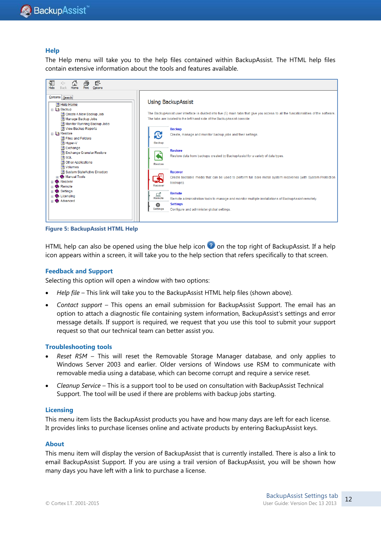#### **Help**

The Help menu will take you to the help files contained within BackupAssist. The HTML help files contain extensive information about the tools and features available.



**Figure 5: BackupAssist HTML Help**

HTML help can also be opened using the blue help icon  $\bullet$  on the top right of BackupAssist. If a help icon appears within a screen, it will take you to the help section that refers specifically to that screen.

#### **Feedback and Support**

Selecting this option will open a window with two options:

- *Help file* This link will take you to the BackupAssist HTML help files (shown above).
- *Contact support* This opens an email submission for BackupAssist Support. The email has an option to attach a diagnostic file containing system information, BackupAssist"s settings and error message details. If support is required, we request that you use this tool to submit your support request so that our technical team can better assist you.

#### **Troubleshooting tools**

- *Reset RSM* This will reset the Removable Storage Manager database, and only applies to Windows Server 2003 and earlier. Older versions of Windows use RSM to communicate with removable media using a database, which can become corrupt and require a service reset.
- *Cleanup Service* This is a support tool to be used on consultation with BackupAssist Technical Support. The tool will be used if there are problems with backup jobs starting.

#### **Licensing**

This menu item lists the BackupAssist products you have and how many days are left for each license. It provides links to purchase licenses online and activate products by entering BackupAssist keys.

#### **About**

This menu item will display the version of BackupAssist that is currently installed. There is also a link to email BackupAssist Support. If you are using a trail version of BackupAssist, you will be shown how many days you have left with a link to purchase a license.